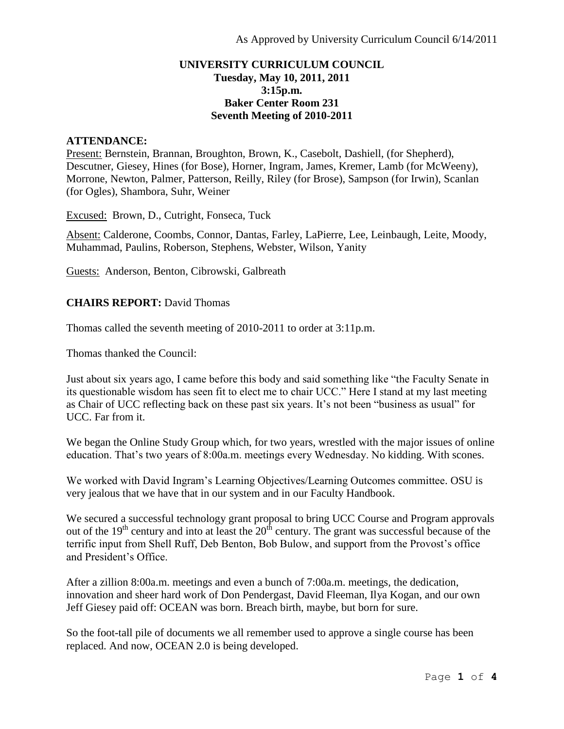## **UNIVERSITY CURRICULUM COUNCIL Tuesday, May 10, 2011, 2011 3:15p.m. Baker Center Room 231 Seventh Meeting of 2010-2011**

## **ATTENDANCE:**

Present: Bernstein, Brannan, Broughton, Brown, K., Casebolt, Dashiell, (for Shepherd), Descutner, Giesey, Hines (for Bose), Horner, Ingram, James, Kremer, Lamb (for McWeeny), Morrone, Newton, Palmer, Patterson, Reilly, Riley (for Brose), Sampson (for Irwin), Scanlan (for Ogles), Shambora, Suhr, Weiner

Excused: Brown, D., Cutright, Fonseca, Tuck

Absent: Calderone, Coombs, Connor, Dantas, Farley, LaPierre, Lee, Leinbaugh, Leite, Moody, Muhammad, Paulins, Roberson, Stephens, Webster, Wilson, Yanity

Guests: Anderson, Benton, Cibrowski, Galbreath

# **CHAIRS REPORT:** David Thomas

Thomas called the seventh meeting of 2010-2011 to order at 3:11p.m.

Thomas thanked the Council:

Just about six years ago, I came before this body and said something like "the Faculty Senate in its questionable wisdom has seen fit to elect me to chair UCC." Here I stand at my last meeting as Chair of UCC reflecting back on these past six years. It's not been "business as usual" for UCC. Far from it.

We began the Online Study Group which, for two years, wrestled with the major issues of online education. That's two years of 8:00a.m. meetings every Wednesday. No kidding. With scones.

We worked with David Ingram's Learning Objectives/Learning Outcomes committee. OSU is very jealous that we have that in our system and in our Faculty Handbook.

We secured a successful technology grant proposal to bring UCC Course and Program approvals out of the  $19<sup>th</sup>$  century and into at least the  $20<sup>th</sup>$  century. The grant was successful because of the terrific input from Shell Ruff, Deb Benton, Bob Bulow, and support from the Provost's office and President's Office.

After a zillion 8:00a.m. meetings and even a bunch of 7:00a.m. meetings, the dedication, innovation and sheer hard work of Don Pendergast, David Fleeman, Ilya Kogan, and our own Jeff Giesey paid off: OCEAN was born. Breach birth, maybe, but born for sure.

So the foot-tall pile of documents we all remember used to approve a single course has been replaced. And now, OCEAN 2.0 is being developed.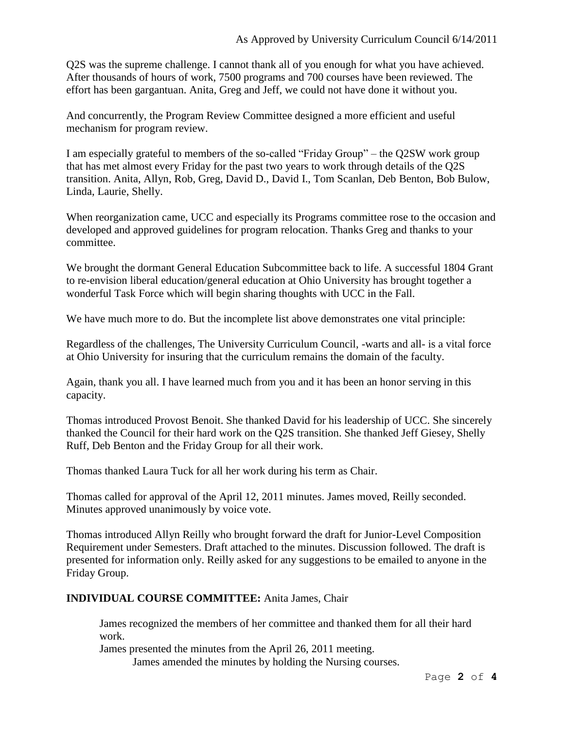Q2S was the supreme challenge. I cannot thank all of you enough for what you have achieved. After thousands of hours of work, 7500 programs and 700 courses have been reviewed. The effort has been gargantuan. Anita, Greg and Jeff, we could not have done it without you.

And concurrently, the Program Review Committee designed a more efficient and useful mechanism for program review.

I am especially grateful to members of the so-called "Friday Group" – the Q2SW work group that has met almost every Friday for the past two years to work through details of the Q2S transition. Anita, Allyn, Rob, Greg, David D., David I., Tom Scanlan, Deb Benton, Bob Bulow, Linda, Laurie, Shelly.

When reorganization came, UCC and especially its Programs committee rose to the occasion and developed and approved guidelines for program relocation. Thanks Greg and thanks to your committee.

We brought the dormant General Education Subcommittee back to life. A successful 1804 Grant to re-envision liberal education/general education at Ohio University has brought together a wonderful Task Force which will begin sharing thoughts with UCC in the Fall.

We have much more to do. But the incomplete list above demonstrates one vital principle:

Regardless of the challenges, The University Curriculum Council, -warts and all- is a vital force at Ohio University for insuring that the curriculum remains the domain of the faculty.

Again, thank you all. I have learned much from you and it has been an honor serving in this capacity.

Thomas introduced Provost Benoit. She thanked David for his leadership of UCC. She sincerely thanked the Council for their hard work on the Q2S transition. She thanked Jeff Giesey, Shelly Ruff, Deb Benton and the Friday Group for all their work.

Thomas thanked Laura Tuck for all her work during his term as Chair.

Thomas called for approval of the April 12, 2011 minutes. James moved, Reilly seconded. Minutes approved unanimously by voice vote.

Thomas introduced Allyn Reilly who brought forward the draft for Junior-Level Composition Requirement under Semesters. Draft attached to the minutes. Discussion followed. The draft is presented for information only. Reilly asked for any suggestions to be emailed to anyone in the Friday Group.

# **INDIVIDUAL COURSE COMMITTEE:** Anita James, Chair

James recognized the members of her committee and thanked them for all their hard work.

James presented the minutes from the April 26, 2011 meeting.

James amended the minutes by holding the Nursing courses.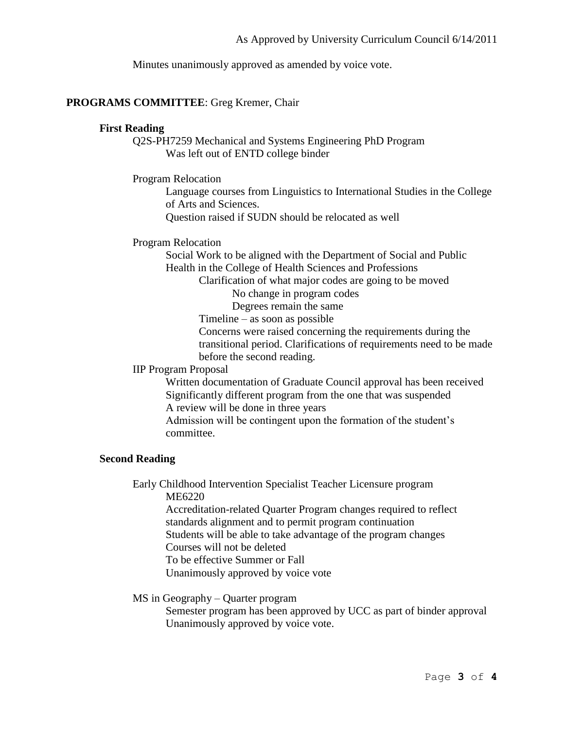Minutes unanimously approved as amended by voice vote.

## **PROGRAMS COMMITTEE**: Greg Kremer, Chair

# **First Reading**

Q2S-PH7259 Mechanical and Systems Engineering PhD Program Was left out of ENTD college binder

Program Relocation

Language courses from Linguistics to International Studies in the College of Arts and Sciences.

Question raised if SUDN should be relocated as well

Program Relocation

Social Work to be aligned with the Department of Social and Public Health in the College of Health Sciences and Professions

Clarification of what major codes are going to be moved

No change in program codes

Degrees remain the same

Timeline – as soon as possible

Concerns were raised concerning the requirements during the transitional period. Clarifications of requirements need to be made before the second reading.

#### IIP Program Proposal

Written documentation of Graduate Council approval has been received Significantly different program from the one that was suspended A review will be done in three years

Admission will be contingent upon the formation of the student's committee.

### **Second Reading**

Early Childhood Intervention Specialist Teacher Licensure program ME6220

Accreditation-related Quarter Program changes required to reflect standards alignment and to permit program continuation Students will be able to take advantage of the program changes

Courses will not be deleted

To be effective Summer or Fall

Unanimously approved by voice vote

## MS in Geography – Quarter program

Semester program has been approved by UCC as part of binder approval Unanimously approved by voice vote.